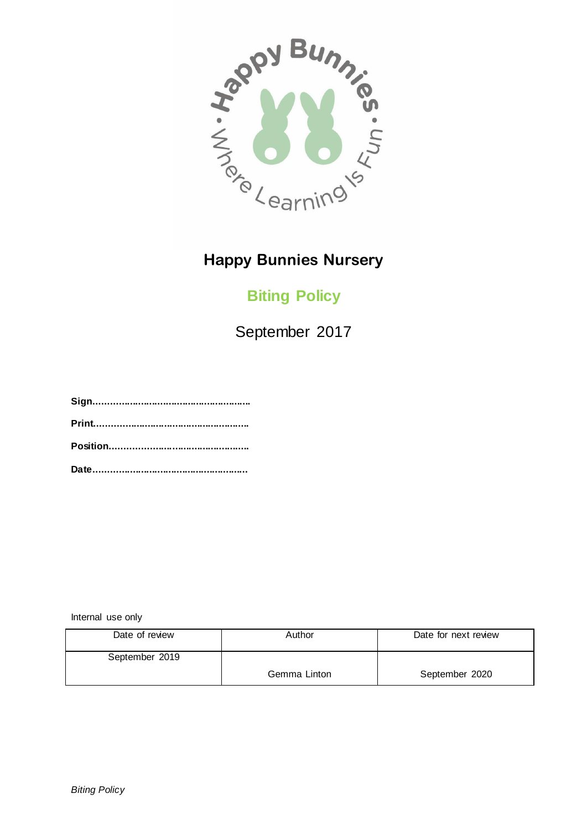

## **Biting Policy**

September 2017

**Sign......................................................... Print........................................................ Position.................................................. Date........................................................**

Internal use only

| Date of review | Author       | Date for next review |
|----------------|--------------|----------------------|
| September 2019 |              |                      |
|                | Gemma Linton | September 2020       |